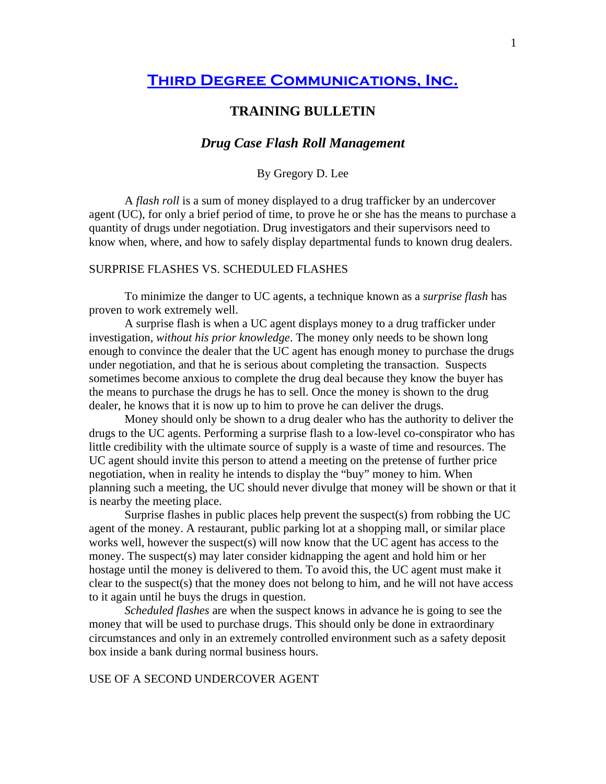# **[Third Degree Communications, Inc.](http://www.tdcorg.com/)**

## **TRAINING BULLETIN**

### *Drug Case Flash Roll Management*

By Gregory D. Lee

A *flash roll* is a sum of money displayed to a drug trafficker by an undercover agent (UC), for only a brief period of time, to prove he or she has the means to purchase a quantity of drugs under negotiation. Drug investigators and their supervisors need to know when, where, and how to safely display departmental funds to known drug dealers.

#### SURPRISE FLASHES VS. SCHEDULED FLASHES

To minimize the danger to UC agents, a technique known as a *surprise flash* has proven to work extremely well.

A surprise flash is when a UC agent displays money to a drug trafficker under investigation, *without his prior knowledge*. The money only needs to be shown long enough to convince the dealer that the UC agent has enough money to purchase the drugs under negotiation, and that he is serious about completing the transaction. Suspects sometimes become anxious to complete the drug deal because they know the buyer has the means to purchase the drugs he has to sell. Once the money is shown to the drug dealer, he knows that it is now up to him to prove he can deliver the drugs.

Money should only be shown to a drug dealer who has the authority to deliver the drugs to the UC agents. Performing a surprise flash to a low-level co-conspirator who has little credibility with the ultimate source of supply is a waste of time and resources. The UC agent should invite this person to attend a meeting on the pretense of further price negotiation, when in reality he intends to display the "buy" money to him. When planning such a meeting, the UC should never divulge that money will be shown or that it is nearby the meeting place.

Surprise flashes in public places help prevent the suspect(s) from robbing the UC agent of the money. A restaurant, public parking lot at a shopping mall, or similar place works well, however the suspect(s) will now know that the UC agent has access to the money. The suspect(s) may later consider kidnapping the agent and hold him or her hostage until the money is delivered to them. To avoid this, the UC agent must make it clear to the suspect(s) that the money does not belong to him, and he will not have access to it again until he buys the drugs in question.

*Scheduled flashes* are when the suspect knows in advance he is going to see the money that will be used to purchase drugs. This should only be done in extraordinary circumstances and only in an extremely controlled environment such as a safety deposit box inside a bank during normal business hours.

#### USE OF A SECOND UNDERCOVER AGENT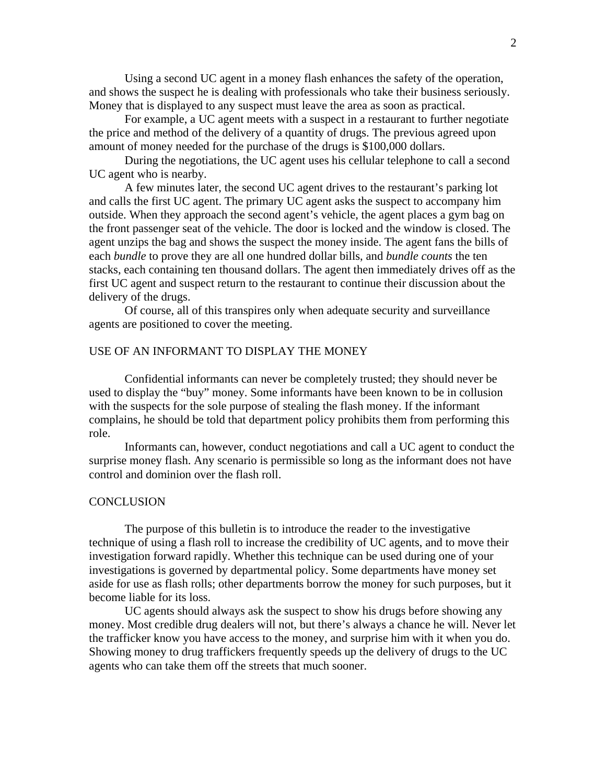Using a second UC agent in a money flash enhances the safety of the operation, and shows the suspect he is dealing with professionals who take their business seriously. Money that is displayed to any suspect must leave the area as soon as practical.

For example, a UC agent meets with a suspect in a restaurant to further negotiate the price and method of the delivery of a quantity of drugs. The previous agreed upon amount of money needed for the purchase of the drugs is \$100,000 dollars.

During the negotiations, the UC agent uses his cellular telephone to call a second UC agent who is nearby.

A few minutes later, the second UC agent drives to the restaurant's parking lot and calls the first UC agent. The primary UC agent asks the suspect to accompany him outside. When they approach the second agent's vehicle, the agent places a gym bag on the front passenger seat of the vehicle. The door is locked and the window is closed. The agent unzips the bag and shows the suspect the money inside. The agent fans the bills of each *bundle* to prove they are all one hundred dollar bills, and *bundle counts* the ten stacks, each containing ten thousand dollars. The agent then immediately drives off as the first UC agent and suspect return to the restaurant to continue their discussion about the delivery of the drugs.

Of course, all of this transpires only when adequate security and surveillance agents are positioned to cover the meeting.

#### USE OF AN INFORMANT TO DISPLAY THE MONEY

Confidential informants can never be completely trusted; they should never be used to display the "buy" money. Some informants have been known to be in collusion with the suspects for the sole purpose of stealing the flash money. If the informant complains, he should be told that department policy prohibits them from performing this role.

Informants can, however, conduct negotiations and call a UC agent to conduct the surprise money flash. Any scenario is permissible so long as the informant does not have control and dominion over the flash roll.

#### **CONCLUSION**

 The purpose of this bulletin is to introduce the reader to the investigative technique of using a flash roll to increase the credibility of UC agents, and to move their investigation forward rapidly. Whether this technique can be used during one of your investigations is governed by departmental policy. Some departments have money set aside for use as flash rolls; other departments borrow the money for such purposes, but it become liable for its loss.

UC agents should always ask the suspect to show his drugs before showing any money. Most credible drug dealers will not, but there's always a chance he will. Never let the trafficker know you have access to the money, and surprise him with it when you do. Showing money to drug traffickers frequently speeds up the delivery of drugs to the UC agents who can take them off the streets that much sooner.